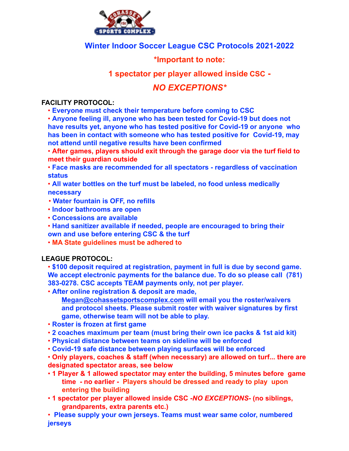

## **Winter Indoor Soccer League CSC Protocols 2021-2022**

### **\*Important to note:**

## **1 spectator per player allowed inside CSC -**

# *NO EXCEPTIONS\**

#### **FACILITY PROTOCOL:**

• **Everyone must check their temperature before coming to CSC**

• **Anyone feeling ill, anyone who has been tested for Covid-19 but does not have results yet, anyone who has tested positive for Covid-19 or anyone who has been in contact with someone who has tested positive for Covid-19, may not attend until negative results have been confirmed**

• **After games, players should exit through the garage door via the turf field to meet their guardian outside**

• **Face masks are recommended for all spectators - regardless of vaccination status**

• **All water bottles on the turf must be labeled, no food unless medically necessary**

- **Water fountain is OFF, no refills**
- **Indoor bathrooms are open**
- **Concessions are available**
- **Hand sanitizer available if needed, people are encouraged to bring their**
- **own and use before entering CSC & the turf**
- **MA State guidelines must be adhered to**

### **LEAGUE PROTOCOL:**

• **\$100 deposit required at registration, payment in full is due by second game. We accept electronic payments for the balance due. To do so please call (781) 383-0278. CSC accepts TEAM payments only, not per player.**

• **After online registration & deposit are made,**

**Megan@cohassetsportscomplex.com will email you the roster/waivers and protocol sheets. Please submit roster with waiver signatures by first game, otherwise team will not be able to play.**

- **Roster is frozen at first game**
- **2 coaches maximum per team (must bring their own ice packs & 1st aid kit)**
- **Physical distance between teams on sideline will be enforced**
- **Covid-19 safe distance between playing surfaces will be enforced**

• **Only players, coaches & staff (when necessary) are allowed on turf... there are designated spectator areas, see below**

- **1 Player & 1 allowed spectator may enter the building, 5 minutes before game time - no earlier - Players should be dressed and ready to play upon entering the building**
- **1 spectator per player allowed inside CSC -***NO EXCEPTIONS***- (no siblings, grandparents, extra parents etc.)**

• **Please supply your own jerseys. Teams must wear same color, numbered jerseys**